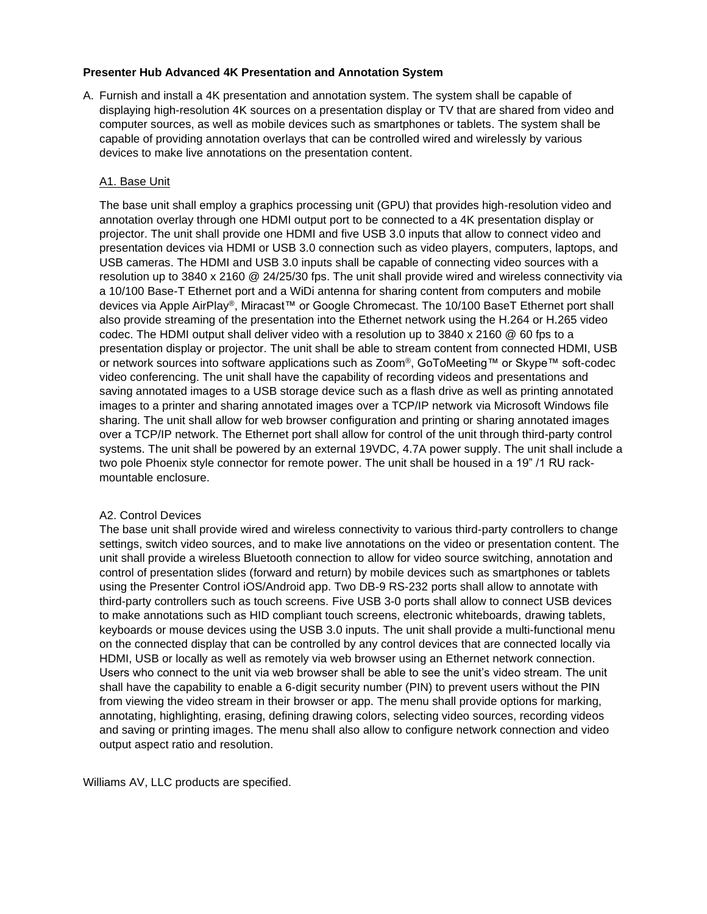## **Presenter Hub Advanced 4K Presentation and Annotation System**

A. Furnish and install a 4K presentation and annotation system. The system shall be capable of displaying high-resolution 4K sources on a presentation display or TV that are shared from video and computer sources, as well as mobile devices such as smartphones or tablets. The system shall be capable of providing annotation overlays that can be controlled wired and wirelessly by various devices to make live annotations on the presentation content.

## A1. Base Unit

The base unit shall employ a graphics processing unit (GPU) that provides high-resolution video and annotation overlay through one HDMI output port to be connected to a 4K presentation display or projector. The unit shall provide one HDMI and five USB 3.0 inputs that allow to connect video and presentation devices via HDMI or USB 3.0 connection such as video players, computers, laptops, and USB cameras. The HDMI and USB 3.0 inputs shall be capable of connecting video sources with a resolution up to 3840 x 2160 @ 24/25/30 fps. The unit shall provide wired and wireless connectivity via a 10/100 Base-T Ethernet port and a WiDi antenna for sharing content from computers and mobile devices via Apple AirPlay®, Miracast™ or Google Chromecast. The 10/100 BaseT Ethernet port shall also provide streaming of the presentation into the Ethernet network using the H.264 or H.265 video codec. The HDMI output shall deliver video with a resolution up to 3840 x 2160 @ 60 fps to a presentation display or projector. The unit shall be able to stream content from connected HDMI, USB or network sources into software applications such as Zoom®, GoToMeeting™ or Skype™ soft-codec video conferencing. The unit shall have the capability of recording videos and presentations and saving annotated images to a USB storage device such as a flash drive as well as printing annotated images to a printer and sharing annotated images over a TCP/IP network via Microsoft Windows file sharing. The unit shall allow for web browser configuration and printing or sharing annotated images over a TCP/IP network. The Ethernet port shall allow for control of the unit through third-party control systems. The unit shall be powered by an external 19VDC, 4.7A power supply. The unit shall include a two pole Phoenix style connector for remote power. The unit shall be housed in a 19" /1 RU rackmountable enclosure.

## A2. Control Devices

The base unit shall provide wired and wireless connectivity to various third-party controllers to change settings, switch video sources, and to make live annotations on the video or presentation content. The unit shall provide a wireless Bluetooth connection to allow for video source switching, annotation and control of presentation slides (forward and return) by mobile devices such as smartphones or tablets using the Presenter Control iOS/Android app. Two DB-9 RS-232 ports shall allow to annotate with third-party controllers such as touch screens. Five USB 3-0 ports shall allow to connect USB devices to make annotations such as HID compliant touch screens, electronic whiteboards, drawing tablets, keyboards or mouse devices using the USB 3.0 inputs. The unit shall provide a multi-functional menu on the connected display that can be controlled by any control devices that are connected locally via HDMI, USB or locally as well as remotely via web browser using an Ethernet network connection. Users who connect to the unit via web browser shall be able to see the unit's video stream. The unit shall have the capability to enable a 6-digit security number (PIN) to prevent users without the PIN from viewing the video stream in their browser or app. The menu shall provide options for marking, annotating, highlighting, erasing, defining drawing colors, selecting video sources, recording videos and saving or printing images. The menu shall also allow to configure network connection and video output aspect ratio and resolution.

Williams AV, LLC products are specified.